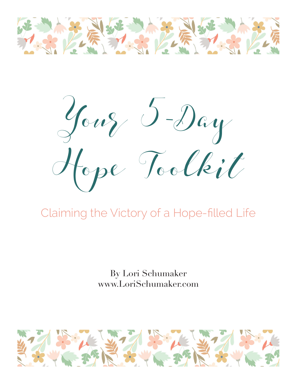

Your 5-Day Hope Toolkit

## Claiming the Victory of a Hope-filled Life

By Lori Schumaker www.LoriSchumaker.com

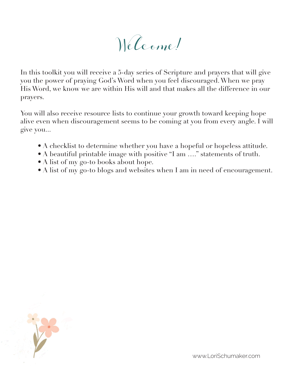Welcome!

In this toolkit you will receive a 5-day series of Scripture and prayers that will give you the power of praying God's Word when you feel discouraged. When we pray His Word, we know we are within His will and that makes all the difference in our prayers.

You will also receive resource lists to continue your growth toward keeping hope alive even when discouragement seems to be coming at you from every angle. I will give you...

- A checklist to determine whether you have a hopeful or hopeless attitude.
- A beautiful printable image with positive "I am ...." statements of truth.
- A list of my go-to books about hope.
- A list of my go-to blogs and websites when I am in need of encouragement.

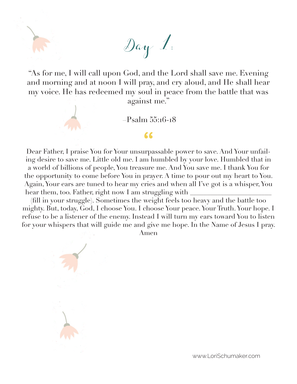"As for me, I will call upon God, and the Lord shall save me. Evening and morning and at noon I will pray, and cry aloud, and He shall hear my voice. He has redeemed my soul in peace from the battle that was against me."

Day 1:

–Psalm 55:16-18

**"**

Dear Father, I praise You for Your unsurpassable power to save. And Your unfailing desire to save me. Little old me. I am humbled by your love. Humbled that in a world of billions of people, You treasure me. And You save me. I thank You for the opportunity to come before You in prayer. A time to pour out my heart to You. Again, Your ears are tuned to hear my cries and when all I've got is a whisper, You hear them, too. Father, right now I am struggling with

(fill in your struggle). Sometimes the weight feels too heavy and the battle too mighty. But, today, God, I choose You. I choose Your peace. Your Truth. Your hope. I refuse to be a listener of the enemy. Instead I will turn my ears toward You to listen for your whispers that will guide me and give me hope. In the Name of Jesus I pray.

Amen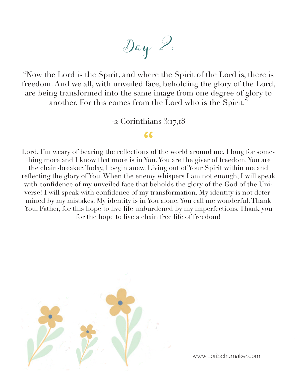Day 2:

"Now the Lord is the Spirit, and where the Spirit of the Lord is, there is freedom. And we all, with unveiled face, beholding the glory of the Lord, are being transformed into the same image from one degree of glory to another. For this comes from the Lord who is the Spirit."

-2 Corinthians 3:17,18

## **"**

Lord, I'm weary of bearing the reflections of the world around me. I long for something more and I know that more is in You. You are the giver of freedom. You are the chain-breaker. Today, I begin anew. Living out of Your Spirit within me and reflecting the glory of You. When the enemy whispers I am not enough, I will speak with confidence of my unveiled face that beholds the glory of the God of the Universe! I will speak with confidence of my transformation. My identity is not determined by my mistakes. My identity is in You alone. You call me wonderful. Thank You, Father, for this hope to live life unburdened by my imperfections. Thank you for the hope to live a chain free life of freedom!

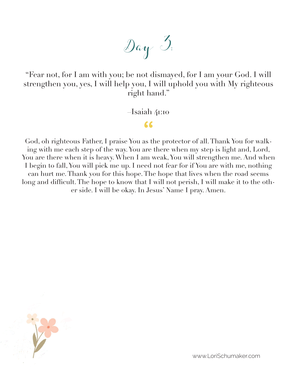

"Fear not, for I am with you; be not dismayed, for I am your God. I will strengthen you, yes, I will help you, I will uphold you with My righteous right hand."

–Isaiah 41:10

**"**

God, oh righteous Father, I praise You as the protector of all. Thank You for walking with me each step of the way. You are there when my step is light and, Lord, You are there when it is heavy. When I am weak, You will strengthen me. And when I begin to fall, You will pick me up. I need not fear for if You are with me, nothing can hurt me. Thank you for this hope. The hope that lives when the road seems long and difficult. The hope to know that I will not perish, I will make it to the other side. I will be okay. In Jesus' Name I pray. Amen.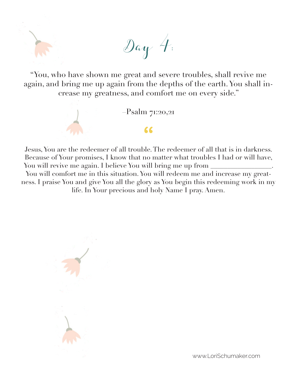"You, who have shown me great and severe troubles, shall revive me again, and bring me up again from the depths of the earth. You shall increase my greatness, and comfort me on every side."

Day 4:



Jesus, You are the redeemer of all trouble. The redeemer of all that is in darkness. Because of Your promises, I know that no matter what troubles I had or will have, You will revive me again. I believe You will bring me up from  $\equiv$ 

You will comfort me in this situation. You will redeem me and increase my greatness. I praise You and give You all the glory as You begin this redeeming work in my life. In Your precious and holy Name I pray. Amen.

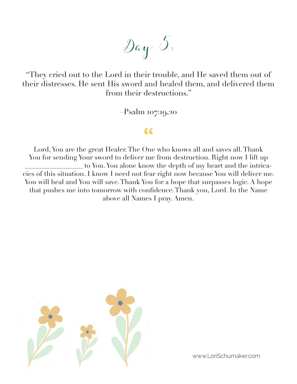Day 5:

"They cried out to the Lord in their trouble, and He saved them out of their distresses. He sent His sword and healed them, and delivered them from their destructions."

–Psalm 107:19,20

## **"**

Lord, You are the great Healer. The One who knows all and saves all. Thank You for sending Your sword to deliver me from destruction. Right now I lift up \_\_\_\_\_\_\_\_\_\_\_\_\_\_\_\_\_ to You. You alone know the depth of my heart and the intricacies of this situation. I know I need not fear right now because You will deliver me. You will heal and You will save. Thank You for a hope that surpasses logic. A hope that pushes me into tomorrow with confidence. Thank you, Lord. In the Name above all Names I pray. Amen.

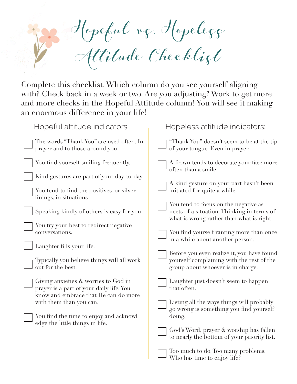

Complete this checklist. Which column do you see yourself aligning with? Check back in a week or two. Are you adjusting? Work to get more and more checks in the Hopeful Attitude column! You will see it making an enormous difference in your life!

| Hopeful attitude indicators:                                                                                                                                                                                                                                                                                                                                                                                                                                                                                                                                                                            | Hopeless attitude indicators:                                                                                                                                                                                                                                                                                                                                                                                                                                                                                                                                                                                                                                                                                                                   |
|---------------------------------------------------------------------------------------------------------------------------------------------------------------------------------------------------------------------------------------------------------------------------------------------------------------------------------------------------------------------------------------------------------------------------------------------------------------------------------------------------------------------------------------------------------------------------------------------------------|-------------------------------------------------------------------------------------------------------------------------------------------------------------------------------------------------------------------------------------------------------------------------------------------------------------------------------------------------------------------------------------------------------------------------------------------------------------------------------------------------------------------------------------------------------------------------------------------------------------------------------------------------------------------------------------------------------------------------------------------------|
| The words "Thank You" are used often. In<br>prayer and to those around you.                                                                                                                                                                                                                                                                                                                                                                                                                                                                                                                             | "Thank You" doesn't seem to be at the tip<br>of your tongue. Even in prayer.                                                                                                                                                                                                                                                                                                                                                                                                                                                                                                                                                                                                                                                                    |
| You find yourself smiling frequently.<br>Kind gestures are part of your day-to-day<br>You tend to find the positives, or silver<br>linings, in situations<br>Speaking kindly of others is easy for you.<br>You try your best to redirect negative<br>conversations.<br>Laughter fills your life.<br>Typically you believe things will all work<br>out for the best.<br>Giving anxieties & worries to God in<br>prayer is a part of your daily life. You<br>know and embrace that He can do more<br>with them than you can.<br>You find the time to enjoy and acknowl<br>edge the little things in life. | A frown tends to decorate your face more<br>often than a smile.<br>A kind gesture on your part hasn't been<br>initiated for quite a while.<br>You tend to focus on the negative as<br>pects of a situation. Thinking in terms of<br>what is wrong rather than what is right.<br>You find yourself ranting more than once<br>in a while about another person.<br>Before you even realize it, you have found<br>yourself complaining with the rest of the<br>group about whoever is in charge.<br>Laughter just doesn't seem to happen<br>that often.<br>Listing all the ways things will probably<br>go wrong is something you find yourself<br>doing.<br>God's Word, prayer & worship has fallen<br>to nearly the bottom of your priority list. |
|                                                                                                                                                                                                                                                                                                                                                                                                                                                                                                                                                                                                         | Too much to do. Too many problems.                                                                                                                                                                                                                                                                                                                                                                                                                                                                                                                                                                                                                                                                                                              |

Who has time to enjoy life?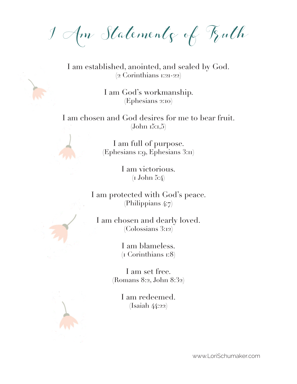I Am Statements of Truth

I am established, anointed, and sealed by God. (2 Corinthians 1:21-22)

> I am God's workmanship. (Ephesians 2:10)

I am chosen and God desires for me to bear fruit.  $(John 15:1,5)$ 

> I am full of purpose. (Ephesians 1:9, Ephesians 3:11)

> > I am victorious. (1 John 5:4)

I am protected with God's peace. (Philippians 4:7)

I am chosen and dearly loved. (Colossians 3:12)

> I am blameless. (1 Corinthians 1:8)

I am set free. (Romans 8:2, John 8:32)

> I am redeemed. (Isaiah 44:22)

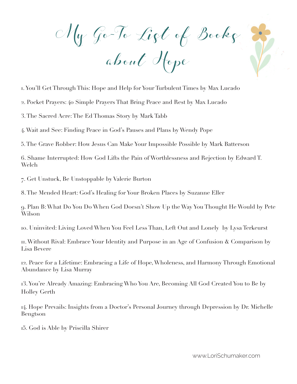My Go-To List of Books

about Hope

1. You'll Get Through This: Hope and Help for Your Turbulent Times by Max Lucado

2. Pocket Prayers: 40 Simple Prayers That Bring Peace and Rest by Max Lucado

3. The Sacred Acre: The Ed Thomas Story by Mark Tabb

4. Wait and See: Finding Peace in God's Pauses and Plans by Wendy Pope

5. The Grave Robber: How Jesus Can Make Your Impossible Possible by Mark Batterson

6. Shame Interrupted: How God Lifts the Pain of Worthlessness and Rejection by Edward T. Welch

7. Get Unstuck, Be Unstoppable by Valerie Burton

8. The Mended Heart: God's Healing for Your Broken Places by Suzanne Eller

9. Plan B: What Do You Do When God Doesn't Show Up the Way You Thought He Would by Pete Wilson

10. Uninvited: Living Loved When You Feel Less Than, Left Out and Lonely by Lysa Terkeurst

11. Without Rival: Embrace Your Identity and Purpose in an Age of Confusion & Comparison by Lisa Bevere

12. Peace for a Lifetime: Embracing a Life of Hope, Wholeness, and Harmony Through Emotional Abundance by Lisa Murray

13. You're Already Amazing: Embracing Who You Are, Becoming All God Created You to Be by Holley Gerth

14. Hope Prevails: Insights from a Doctor's Personal Journey through Depression by Dr. Michelle Bengtson

15. God is Able by Priscilla Shirer

Y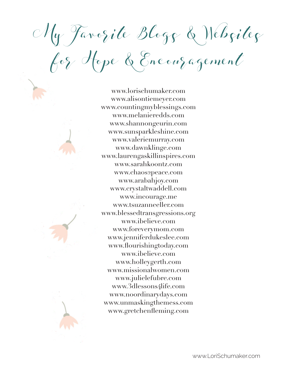My Favorite Blogs & Websites

for Hope & Encouragement

www.lorischumaker.com www.alisontiemeyer.com www.countingmyblessings.com www.melanieredds.com www.shannongeurin.com www.sunsparkleshine.com www.valeriemurray.com www.dawnklinge.com www.laurengaskillinspires.com www.sarahkoontz.com www.chaos2peace.com www.arabahjoy.com www.crystaltwaddell.com www.incourage.me www.tsuzanneeller.com www.blessedtransgressions.org www.ibelieve.com www.foreverymom.com www.jenniferdukeslee.com www.flourishingtoday.com www.ibelieve.com www.holleygerth.com www.missionalwomen.com www.julielefubre.com www.3dlessons4life.com www.noordinarydays.com www.unmaskingthemess.com www.gretchenfleming.com